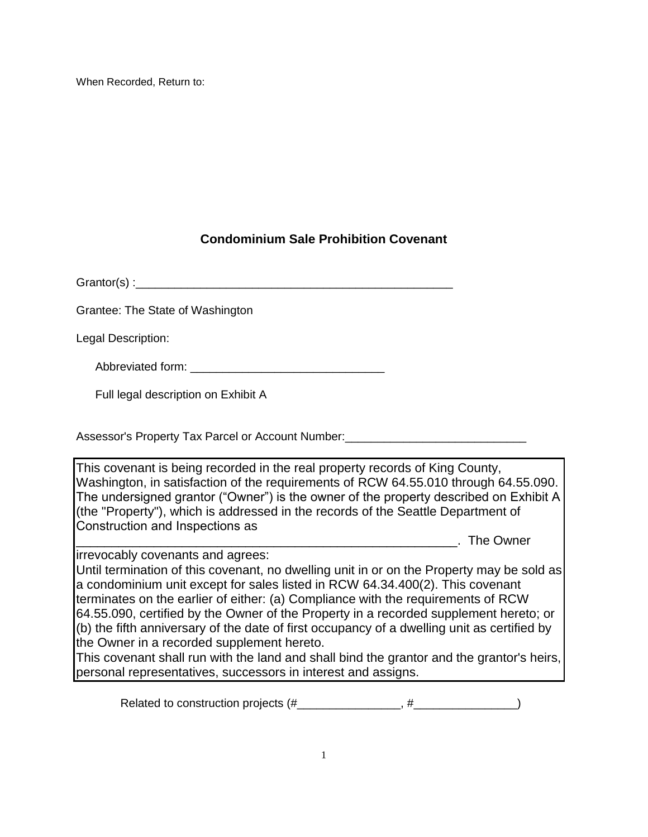When Recorded, Return to:

## **Condominium Sale Prohibition Covenant**

Grantor(s) :

Grantee: The State of Washington

Legal Description:

Abbreviated form: \_\_\_\_\_\_\_\_\_\_\_\_\_\_\_\_\_\_\_\_\_\_\_\_\_\_\_\_\_\_

Full legal description on Exhibit A

Assessor's Property Tax Parcel or Account Number:\_\_\_\_\_\_\_\_\_\_\_\_\_\_\_\_\_\_\_\_\_\_\_\_\_\_\_\_

This covenant is being recorded in the real property records of King County, Washington, in satisfaction of the requirements of RCW 64.55.010 through 64.55.090. The undersigned grantor ("Owner") is the owner of the property described on Exhibit A (the "Property"), which is addressed in the records of the Seattle Department of Construction and Inspections as

irrevocably covenants and agrees:

\_\_\_\_\_\_\_\_\_\_\_\_\_\_\_\_\_\_\_\_\_\_\_\_\_\_\_\_\_\_\_\_\_\_\_\_\_\_\_\_\_\_\_\_\_\_\_\_\_\_\_\_\_\_. The Owner

Until termination of this covenant, no dwelling unit in or on the Property may be sold as a condominium unit except for sales listed in RCW 64.34.400(2). This covenant terminates on the earlier of either: (a) Compliance with the requirements of RCW 64.55.090, certified by the Owner of the Property in a recorded supplement hereto; or (b) the fifth anniversary of the date of first occupancy of a dwelling unit as certified by the Owner in a recorded supplement hereto.

This covenant shall run with the land and shall bind the grantor and the grantor's heirs, personal representatives, successors in interest and assigns.

Related to construction projects (#\_\_\_\_\_\_\_\_\_\_\_\_\_\_\_\_, #\_\_\_\_\_\_\_\_\_\_\_\_\_\_\_\_)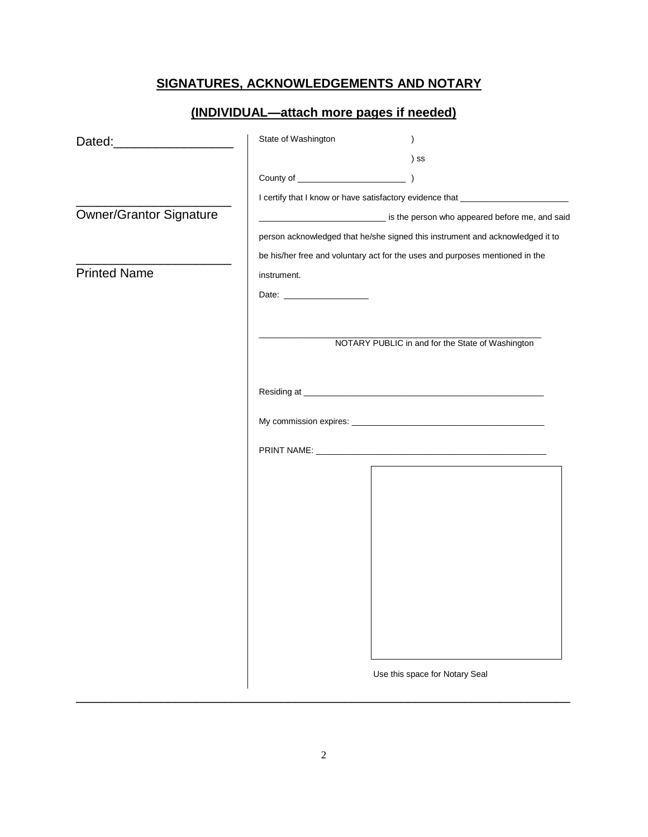# **SIGNATURES, ACKNOWLEDGEMENTS AND NOTARY**

|                                | (INDIVIDUAL-attach more pages if needed)                                         |  |
|--------------------------------|----------------------------------------------------------------------------------|--|
| Dated:_______________________  | State of Washington<br>$\lambda$                                                 |  |
|                                | ) SS                                                                             |  |
|                                |                                                                                  |  |
|                                | I certify that I know or have satisfactory evidence that _______________________ |  |
| <b>Owner/Grantor Signature</b> | is the person who appeared before me, and said                                   |  |
|                                | person acknowledged that he/she signed this instrument and acknowledged it to    |  |
|                                | be his/her free and voluntary act for the uses and purposes mentioned in the     |  |
| <b>Printed Name</b>            | instrument.                                                                      |  |
|                                |                                                                                  |  |
|                                |                                                                                  |  |
|                                |                                                                                  |  |
|                                | NOTARY PUBLIC in and for the State of Washington                                 |  |
|                                |                                                                                  |  |
|                                |                                                                                  |  |
|                                |                                                                                  |  |
|                                |                                                                                  |  |
|                                |                                                                                  |  |
|                                |                                                                                  |  |
|                                |                                                                                  |  |
|                                |                                                                                  |  |
|                                |                                                                                  |  |
|                                |                                                                                  |  |
|                                |                                                                                  |  |
|                                |                                                                                  |  |
|                                |                                                                                  |  |
|                                |                                                                                  |  |
|                                |                                                                                  |  |
|                                |                                                                                  |  |
|                                | Use this space for Notary Seal                                                   |  |

 $\_$  ,  $\_$  ,  $\_$  ,  $\_$  ,  $\_$  ,  $\_$  ,  $\_$  ,  $\_$  ,  $\_$  ,  $\_$  ,  $\_$  ,  $\_$  ,  $\_$  ,  $\_$  ,  $\_$  ,  $\_$  ,  $\_$  ,  $\_$  ,  $\_$  ,  $\_$  ,  $\_$  ,  $\_$  ,  $\_$  ,  $\_$  ,  $\_$  ,  $\_$  ,  $\_$  ,  $\_$  ,  $\_$  ,  $\_$  ,  $\_$  ,  $\_$  ,  $\_$  ,  $\_$  ,  $\_$  ,  $\_$  ,  $\_$  ,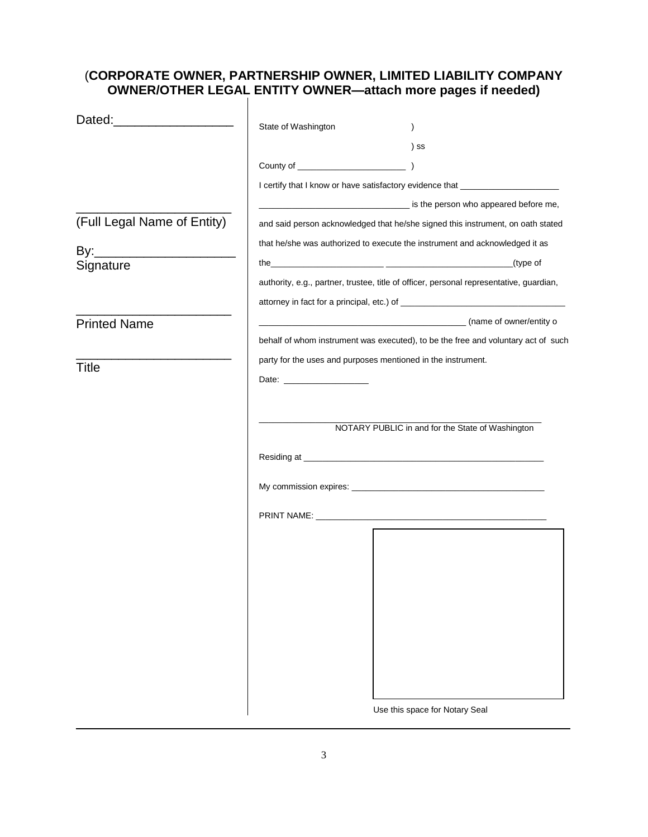# (**CORPORATE OWNER, PARTNERSHIP OWNER, LIMITED LIABILITY COMPANY OWNER/OTHER LEGAL ENTITY OWNER—attach more pages if needed)**

| Dated: ______________________ |                                                                                  |                                                                                         |  |
|-------------------------------|----------------------------------------------------------------------------------|-----------------------------------------------------------------------------------------|--|
|                               | State of Washington                                                              |                                                                                         |  |
|                               |                                                                                  | ) SS                                                                                    |  |
|                               |                                                                                  |                                                                                         |  |
|                               | I certify that I know or have satisfactory evidence that _______________________ |                                                                                         |  |
|                               |                                                                                  | is the person who appeared before me,                                                   |  |
| (Full Legal Name of Entity)   | and said person acknowledged that he/she signed this instrument, on oath stated  |                                                                                         |  |
|                               | that he/she was authorized to execute the instrument and acknowledged it as      |                                                                                         |  |
| Signature                     |                                                                                  |                                                                                         |  |
|                               |                                                                                  | authority, e.g., partner, trustee, title of officer, personal representative, guardian, |  |
|                               |                                                                                  |                                                                                         |  |
| <b>Printed Name</b>           |                                                                                  | (name of owner/entity of                                                                |  |
|                               |                                                                                  | behalf of whom instrument was executed), to be the free and voluntary act of such       |  |
|                               |                                                                                  | party for the uses and purposes mentioned in the instrument.                            |  |
| Title                         |                                                                                  |                                                                                         |  |
|                               |                                                                                  |                                                                                         |  |
|                               |                                                                                  |                                                                                         |  |
|                               |                                                                                  | NOTARY PUBLIC in and for the State of Washington                                        |  |
|                               |                                                                                  |                                                                                         |  |
|                               |                                                                                  |                                                                                         |  |
|                               |                                                                                  |                                                                                         |  |
|                               |                                                                                  |                                                                                         |  |
|                               |                                                                                  |                                                                                         |  |
|                               |                                                                                  |                                                                                         |  |
|                               |                                                                                  |                                                                                         |  |
|                               |                                                                                  |                                                                                         |  |
|                               |                                                                                  |                                                                                         |  |
|                               |                                                                                  |                                                                                         |  |
|                               |                                                                                  |                                                                                         |  |
|                               |                                                                                  |                                                                                         |  |
|                               |                                                                                  |                                                                                         |  |
|                               |                                                                                  |                                                                                         |  |
|                               |                                                                                  | Use this space for Notary Seal                                                          |  |

 $\_$  ,  $\_$  ,  $\_$  ,  $\_$  ,  $\_$  ,  $\_$  ,  $\_$  ,  $\_$  ,  $\_$  ,  $\_$  ,  $\_$  ,  $\_$  ,  $\_$  ,  $\_$  ,  $\_$  ,  $\_$  ,  $\_$  ,  $\_$  ,  $\_$  ,  $\_$  ,  $\_$  ,  $\_$  ,  $\_$  ,  $\_$  ,  $\_$  ,  $\_$  ,  $\_$  ,  $\_$  ,  $\_$  ,  $\_$  ,  $\_$  ,  $\_$  ,  $\_$  ,  $\_$  ,  $\_$  ,  $\_$  ,  $\_$  ,